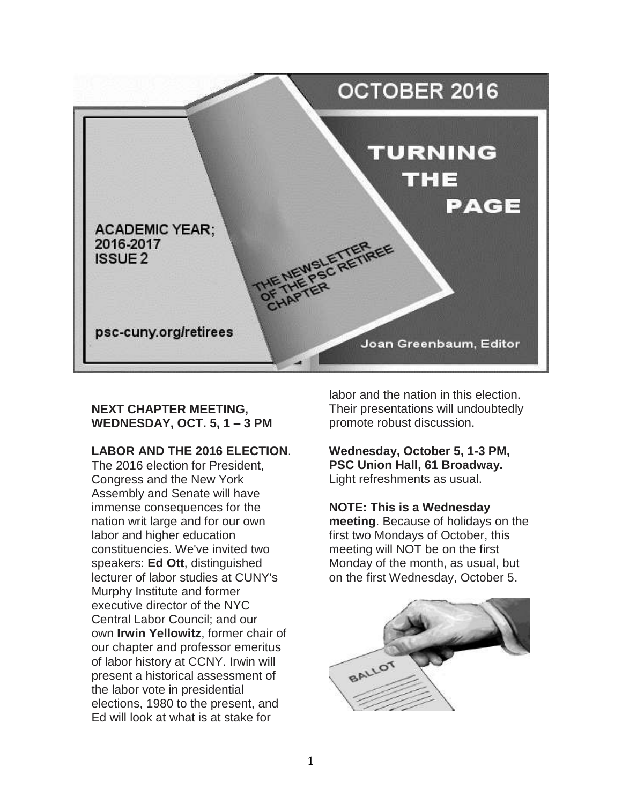

## **NEXT CHAPTER MEETING, WEDNESDAY, OCT. 5, 1 – 3 PM**

# **LABOR AND THE 2016 ELECTION**.

The 2016 election for President, Congress and the New York Assembly and Senate will have immense consequences for the nation writ large and for our own labor and higher education constituencies. We've invited two speakers: **Ed Ott**, distinguished lecturer of labor studies at CUNY's Murphy Institute and former executive director of the NYC Central Labor Council; and our own **Irwin Yellowitz**, former chair of our chapter and professor emeritus of labor history at CCNY. Irwin will present a historical assessment of the labor vote in presidential elections, 1980 to the present, and Ed will look at what is at stake for

labor and the nation in this election. Their presentations will undoubtedly promote robust discussion.

**Wednesday, October 5, 1-3 PM, PSC Union Hall, 61 Broadway.**  Light refreshments as usual.

**NOTE: This is a Wednesday meeting**. Because of holidays on the first two Mondays of October, this meeting will NOT be on the first Monday of the month, as usual, but on the first Wednesday, October 5.

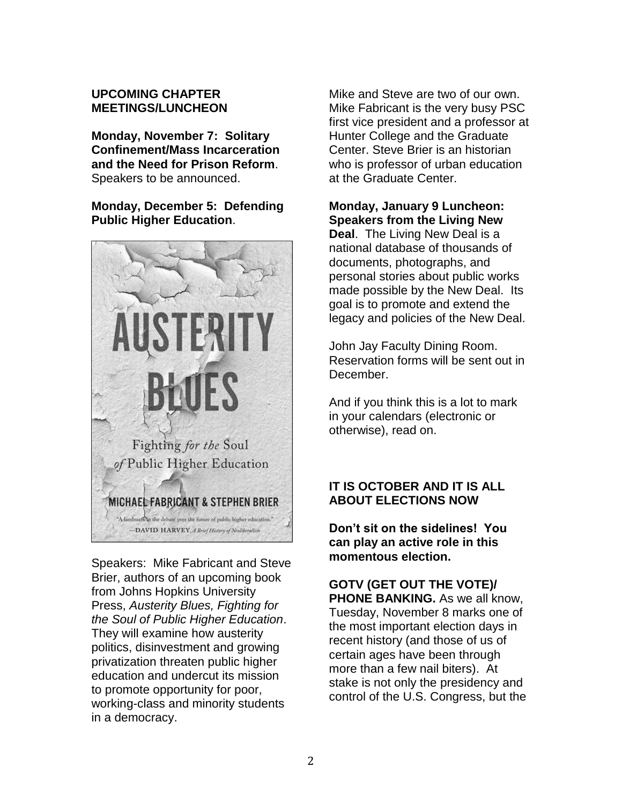#### **UPCOMING CHAPTER MEETINGS/LUNCHEON**

**Monday, November 7: Solitary Confinement/Mass Incarceration and the Need for Prison Reform**. Speakers to be announced.

**Monday, December 5: Defending Public Higher Education**.



Speakers: Mike Fabricant and Steve Brier, authors of an upcoming book from Johns Hopkins University Press, *Austerity Blues, Fighting for the Soul of Public Higher Education*. They will examine how austerity politics, disinvestment and growing privatization threaten public higher education and undercut its mission to promote opportunity for poor, working-class and minority students in a democracy.

Mike and Steve are two of our own. Mike Fabricant is the very busy PSC first vice president and a professor at Hunter College and the Graduate Center. Steve Brier is an historian who is professor of urban education at the Graduate Center.

# **Monday, January 9 Luncheon: Speakers from the Living New**

**Deal**. The Living New Deal is a national database of thousands of documents, photographs, and personal stories about public works made possible by the New Deal. Its goal is to promote and extend the legacy and policies of the New Deal.

John Jay Faculty Dining Room. Reservation forms will be sent out in December.

And if you think this is a lot to mark in your calendars (electronic or otherwise), read on.

# **IT IS OCTOBER AND IT IS ALL ABOUT ELECTIONS NOW**

**Don't sit on the sidelines! You can play an active role in this momentous election.** 

**GOTV (GET OUT THE VOTE)/ PHONE BANKING.** As we all know, Tuesday, November 8 marks one of the most important election days in recent history (and those of us of certain ages have been through more than a few nail biters). At stake is not only the presidency and control of the U.S. Congress, but the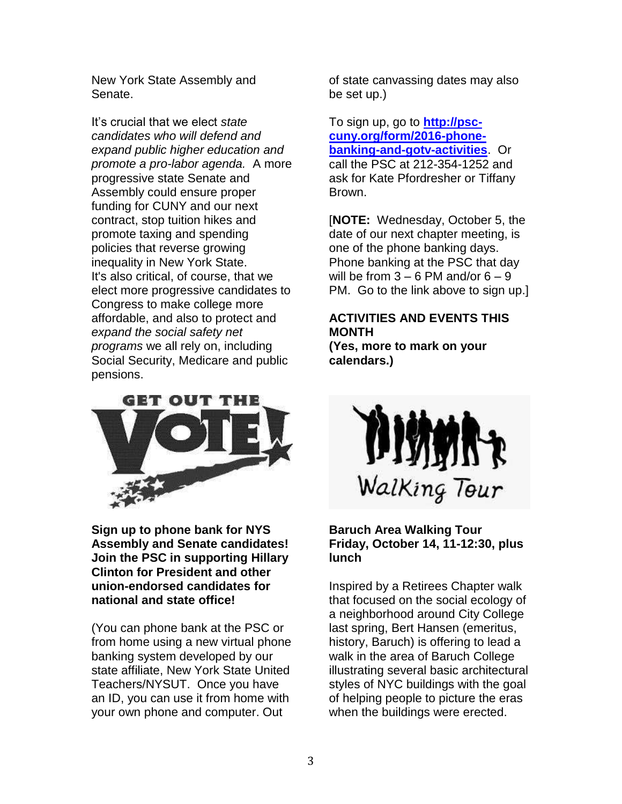New York State Assembly and Senate.

It's crucial that we elect *state candidates who will defend and expand public higher education and promote a pro-labor agenda.* A more progressive state Senate and Assembly could ensure proper funding for CUNY and our next contract, stop tuition hikes and promote taxing and spending policies that reverse growing inequality in New York State. It's also critical, of course, that we elect more progressive candidates to Congress to make college more affordable, and also to protect and *expand the social safety net programs* we all rely on, including Social Security, Medicare and public pensions.



**Sign up to phone bank for NYS Assembly and Senate candidates! Join the PSC in supporting Hillary Clinton for President and other union-endorsed candidates for national and state office!**

(You can phone bank at the PSC or from home using a new virtual phone banking system developed by our state affiliate, New York State United Teachers/NYSUT. Once you have an ID, you can use it from home with your own phone and computer. Out

of state canvassing dates may also be set up.)

To sign up, go to **[http://psc](http://psc-cuny.org/form/2016-phone-banking-and-gotv-activities)[cuny.org/form/2016-phone](http://psc-cuny.org/form/2016-phone-banking-and-gotv-activities)[banking-and-gotv-activities](http://psc-cuny.org/form/2016-phone-banking-and-gotv-activities)**. Or call the PSC at 212-354-1252 and ask for Kate Pfordresher or Tiffany Brown.

[**NOTE:** Wednesday, October 5, the date of our next chapter meeting, is one of the phone banking days. Phone banking at the PSC that day will be from  $3 - 6$  PM and/or  $6 - 9$ PM. Go to the link above to sign up.]

# **ACTIVITIES AND EVENTS THIS MONTH**

**(Yes, more to mark on your calendars.)**



#### **Baruch Area Walking Tour Friday, October 14, 11-12:30, plus lunch**

Inspired by a Retirees Chapter walk that focused on the social ecology of a neighborhood around City College last spring, Bert Hansen (emeritus, history, Baruch) is offering to lead a walk in the area of Baruch College illustrating several basic architectural styles of NYC buildings with the goal of helping people to picture the eras when the buildings were erected.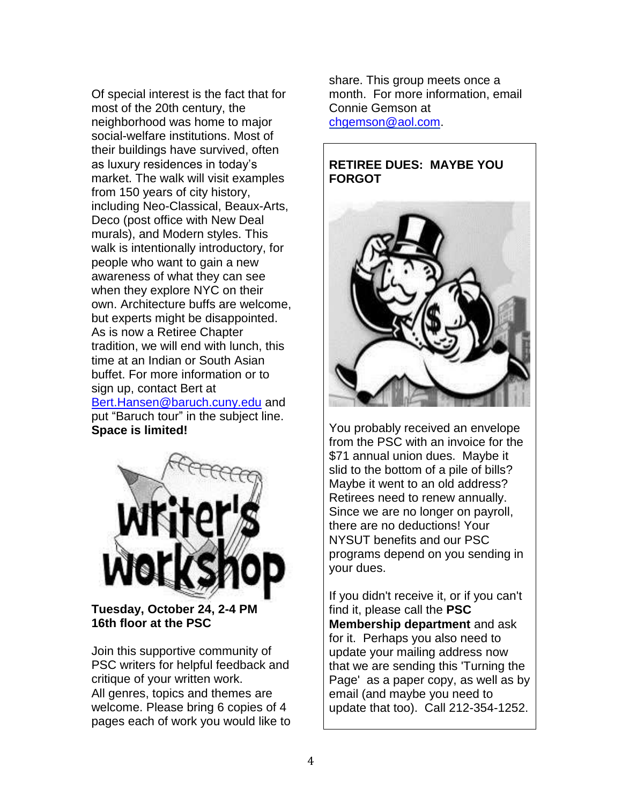Of special interest is the fact that for most of the 20th century, the neighborhood was home to major social-welfare institutions. Most of their buildings have survived, often as luxury residences in today's market. The walk will visit examples from 150 years of city history, including Neo-Classical, Beaux-Arts, Deco (post office with New Deal murals), and Modern styles. This walk is intentionally introductory, for people who want to gain a new awareness of what they can see when they explore NYC on their own. Architecture buffs are welcome, but experts might be disappointed. As is now a Retiree Chapter tradition, we will end with lunch, this time at an Indian or South Asian buffet. For more information or to sign up, contact Bert at [Bert.Hansen@baruch.cuny.edu](mailto:Bert.Hansen@baruch.cuny.edu) and put "Baruch tour" in the subject line. **Space is limited!**



**Tuesday, October 24, 2-4 PM 16th floor at the PSC**

Join this supportive community of PSC writers for helpful feedback and critique of your written work. All genres, topics and themes are welcome. Please bring 6 copies of 4 pages each of work you would like to share. This group meets once a month. For more information, email Connie Gemson at [chgemson@aol.com.](mailto:chgemson@aol.com)

## **RETIREE DUES: MAYBE YOU FORGOT**



You probably received an envelope from the PSC with an invoice for the \$71 annual union dues. Maybe it slid to the bottom of a pile of bills? Maybe it went to an old address? Retirees need to renew annually. Since we are no longer on payroll, there are no deductions! Your NYSUT benefits and our PSC programs depend on you sending in your dues.

If you didn't receive it, or if you can't find it, please call the **PSC Membership department** and ask for it. Perhaps you also need to update your mailing address now that we are sending this 'Turning the Page' as a paper copy, as well as by email (and maybe you need to update that too). Call 212-354-1252.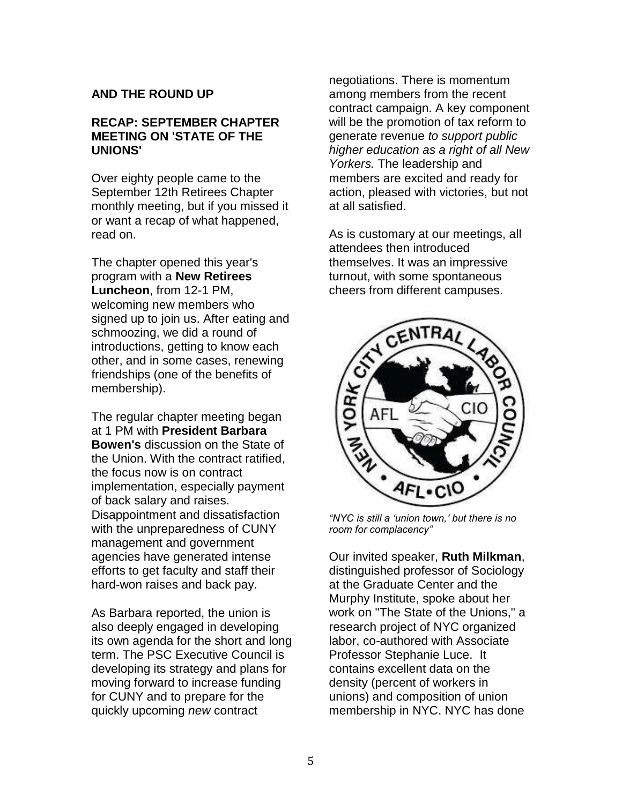## **AND THE ROUND UP**

#### **RECAP: SEPTEMBER CHAPTER MEETING ON 'STATE OF THE UNIONS'**

Over eighty people came to the September 12th Retirees Chapter monthly meeting, but if you missed it or want a recap of what happened, read on.

The chapter opened this year's program with a **New Retirees Luncheon**, from 12-1 PM, welcoming new members who signed up to join us. After eating and schmoozing, we did a round of introductions, getting to know each other, and in some cases, renewing friendships (one of the benefits of membership).

The regular chapter meeting began at 1 PM with **President Barbara Bowen's** discussion on the State of the Union. With the contract ratified, the focus now is on contract implementation, especially payment of back salary and raises. Disappointment and dissatisfaction with the unpreparedness of CUNY management and government agencies have generated intense efforts to get faculty and staff their hard-won raises and back pay.

As Barbara reported, the union is also deeply engaged in developing its own agenda for the short and long term. The PSC Executive Council is developing its strategy and plans for moving forward to increase funding for CUNY and to prepare for the quickly upcoming *new* contract

negotiations. There is momentum among members from the recent contract campaign. A key component will be the promotion of tax reform to generate revenue *to support public higher education as a right of all New Yorkers.* The leadership and members are excited and ready for action, pleased with victories, but not at all satisfied.

As is customary at our meetings, all attendees then introduced themselves. It was an impressive turnout, with some spontaneous cheers from different campuses.



*"NYC is still a 'union town,' but there is no room for complacency"*

Our invited speaker, **Ruth Milkman**, distinguished professor of Sociology at the Graduate Center and the Murphy Institute, spoke about her work on "The State of the Unions," a research project of NYC organized labor, co-authored with Associate Professor Stephanie Luce. It contains excellent data on the density (percent of workers in unions) and composition of union membership in NYC. NYC has done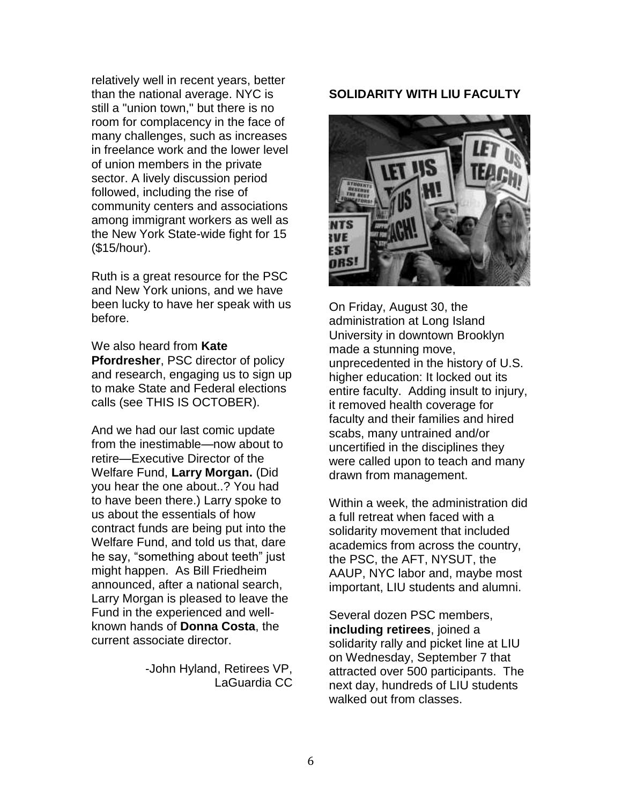relatively well in recent years, better than the national average. NYC is still a "union town," but there is no room for complacency in the face of many challenges, such as increases in freelance work and the lower level of union members in the private sector. A lively discussion period followed, including the rise of community centers and associations among immigrant workers as well as the New York State-wide fight for 15 (\$15/hour).

Ruth is a great resource for the PSC and New York unions, and we have been lucky to have her speak with us before.

#### We also heard from **Kate Pfordresher**, PSC director of policy and research, engaging us to sign up to make State and Federal elections calls (see THIS IS OCTOBER).

And we had our last comic update from the inestimable—now about to retire—Executive Director of the Welfare Fund, **Larry Morgan.** (Did you hear the one about..? You had to have been there.) Larry spoke to us about the essentials of how contract funds are being put into the Welfare Fund, and told us that, dare he say, "something about teeth" just might happen. As Bill Friedheim announced, after a national search, Larry Morgan is pleased to leave the Fund in the experienced and wellknown hands of **Donna Costa**, the current associate director.

> -John Hyland, Retirees VP, LaGuardia CC

#### **SOLIDARITY WITH LIU FACULTY**



On Friday, August 30, the administration at Long Island University in downtown Brooklyn made a stunning move, unprecedented in the history of U.S. higher education: It locked out its entire faculty. Adding insult to injury, it removed health coverage for faculty and their families and hired scabs, many untrained and/or uncertified in the disciplines they were called upon to teach and many drawn from management.

Within a week, the administration did a full retreat when faced with a solidarity movement that included academics from across the country, the PSC, the AFT, NYSUT, the AAUP, NYC labor and, maybe most important, LIU students and alumni.

Several dozen PSC members, **including retirees**, joined a solidarity rally and picket line at LIU on Wednesday, September 7 that attracted over 500 participants. The next day, hundreds of LIU students walked out from classes.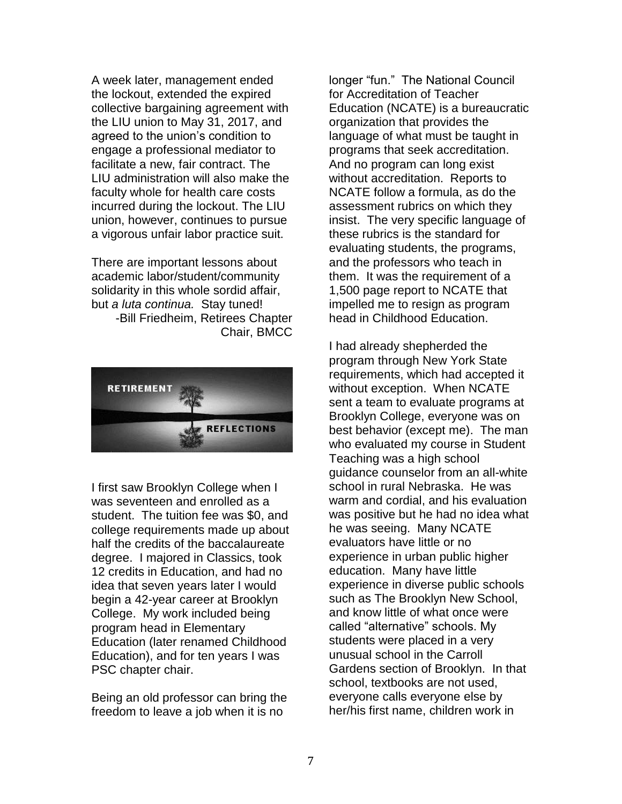A week later, management ended the lockout, extended the expired collective bargaining agreement with the LIU union to May 31, 2017, and agreed to the union's condition to engage a professional mediator to facilitate a new, fair contract. The LIU administration will also make the faculty whole for health care costs incurred during the lockout. The LIU union, however, continues to pursue a vigorous unfair labor practice suit.

There are important lessons about academic labor/student/community solidarity in this whole sordid affair, but *a luta continua.* Stay tuned! -Bill Friedheim, Retirees Chapter Chair, BMCC



I first saw Brooklyn College when I was seventeen and enrolled as a student. The tuition fee was \$0, and college requirements made up about half the credits of the baccalaureate degree. I majored in Classics, took 12 credits in Education, and had no idea that seven years later I would begin a 42-year career at Brooklyn College. My work included being program head in Elementary Education (later renamed Childhood Education), and for ten years I was PSC chapter chair.

Being an old professor can bring the freedom to leave a job when it is no

longer "fun." The National Council for Accreditation of Teacher Education (NCATE) is a bureaucratic organization that provides the language of what must be taught in programs that seek accreditation. And no program can long exist without accreditation. Reports to NCATE follow a formula, as do the assessment rubrics on which they insist. The very specific language of these rubrics is the standard for evaluating students, the programs, and the professors who teach in them. It was the requirement of a 1,500 page report to NCATE that impelled me to resign as program head in Childhood Education.

I had already shepherded the program through New York State requirements, which had accepted it without exception. When NCATE sent a team to evaluate programs at Brooklyn College, everyone was on best behavior (except me). The man who evaluated my course in Student Teaching was a high school guidance counselor from an all-white school in rural Nebraska. He was warm and cordial, and his evaluation was positive but he had no idea what he was seeing. Many NCATE evaluators have little or no experience in urban public higher education. Many have little experience in diverse public schools such as The Brooklyn New School, and know little of what once were called "alternative" schools. My students were placed in a very unusual school in the Carroll Gardens section of Brooklyn. In that school, textbooks are not used, everyone calls everyone else by her/his first name, children work in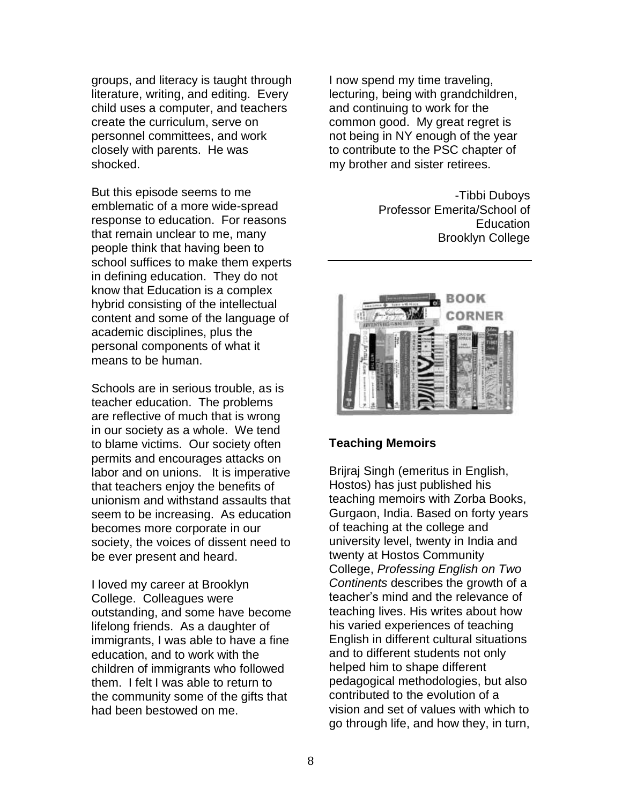groups, and literacy is taught through literature, writing, and editing. Every child uses a computer, and teachers create the curriculum, serve on personnel committees, and work closely with parents. He was shocked.

But this episode seems to me emblematic of a more wide-spread response to education. For reasons that remain unclear to me, many people think that having been to school suffices to make them experts in defining education. They do not know that Education is a complex hybrid consisting of the intellectual content and some of the language of academic disciplines, plus the personal components of what it means to be human.

Schools are in serious trouble, as is teacher education. The problems are reflective of much that is wrong in our society as a whole. We tend to blame victims. Our society often permits and encourages attacks on labor and on unions. It is imperative that teachers enjoy the benefits of unionism and withstand assaults that seem to be increasing. As education becomes more corporate in our society, the voices of dissent need to be ever present and heard.

I loved my career at Brooklyn College. Colleagues were outstanding, and some have become lifelong friends. As a daughter of immigrants, I was able to have a fine education, and to work with the children of immigrants who followed them. I felt I was able to return to the community some of the gifts that had been bestowed on me.

I now spend my time traveling, lecturing, being with grandchildren, and continuing to work for the common good. My great regret is not being in NY enough of the year to contribute to the PSC chapter of my brother and sister retirees.

> -Tibbi Duboys Professor Emerita/School of **Education** Brooklyn College



#### **Teaching Memoirs**

Brijraj Singh (emeritus in English, Hostos) has just published his teaching memoirs with Zorba Books, Gurgaon, India. Based on forty years of teaching at the college and university level, twenty in India and twenty at Hostos Community College, *Professing English on Two Continents* describes the growth of a teacher's mind and the relevance of teaching lives. His writes about how his varied experiences of teaching English in different cultural situations and to different students not only helped him to shape different pedagogical methodologies, but also contributed to the evolution of a vision and set of values with which to go through life, and how they, in turn,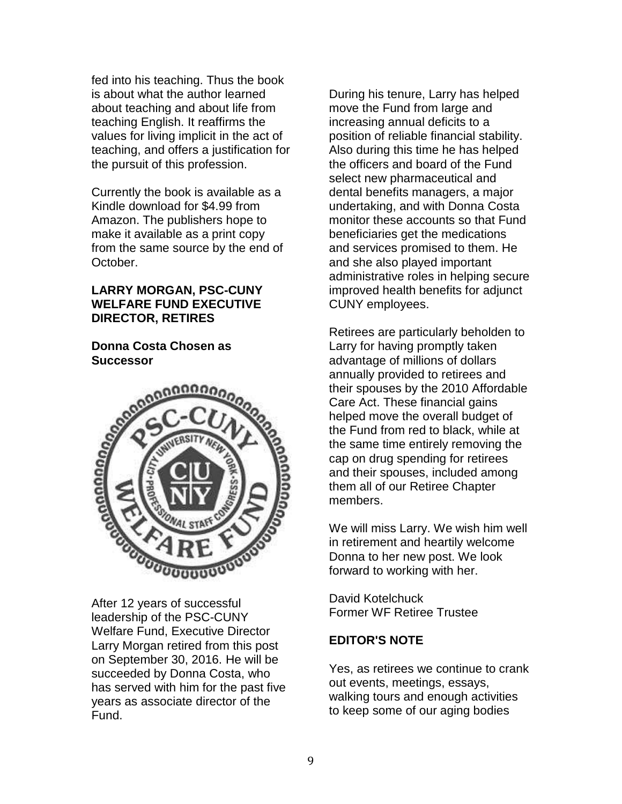fed into his teaching. Thus the book is about what the author learned about teaching and about life from teaching English. It reaffirms the values for living implicit in the act of teaching, and offers a justification for the pursuit of this profession.

Currently the book is available as a Kindle download for \$4.99 from Amazon. The publishers hope to make it available as a print copy from the same source by the end of October.

#### **LARRY MORGAN, PSC-CUNY WELFARE FUND EXECUTIVE DIRECTOR, RETIRES**

## **Donna Costa Chosen as Successor**



After 12 years of successful leadership of the PSC-CUNY Welfare Fund, Executive Director Larry Morgan retired from this post on September 30, 2016. He will be succeeded by Donna Costa, who has served with him for the past five years as associate director of the Fund.

During his tenure, Larry has helped move the Fund from large and increasing annual deficits to a position of reliable financial stability. Also during this time he has helped the officers and board of the Fund select new pharmaceutical and dental benefits managers, a major undertaking, and with Donna Costa monitor these accounts so that Fund beneficiaries get the medications and services promised to them. He and she also played important administrative roles in helping secure improved health benefits for adjunct CUNY employees.

Retirees are particularly beholden to Larry for having promptly taken advantage of millions of dollars annually provided to retirees and their spouses by the 2010 Affordable Care Act. These financial gains helped move the overall budget of the Fund from red to black, while at the same time entirely removing the cap on drug spending for retirees and their spouses, included among them all of our Retiree Chapter members.

We will miss Larry. We wish him well in retirement and heartily welcome Donna to her new post. We look forward to working with her.

David Kotelchuck Former WF Retiree Trustee

# **EDITOR'S NOTE**

Yes, as retirees we continue to crank out events, meetings, essays, walking tours and enough activities to keep some of our aging bodies